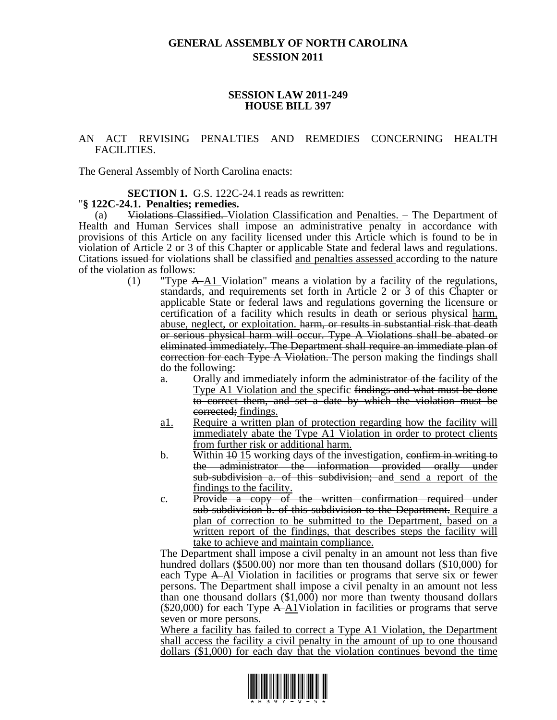# **GENERAL ASSEMBLY OF NORTH CAROLINA SESSION 2011**

#### **SESSION LAW 2011-249 HOUSE BILL 397**

### AN ACT REVISING PENALTIES AND REMEDIES CONCERNING HEALTH FACILITIES.

The General Assembly of North Carolina enacts:

#### **SECTION 1.** G.S. 122C-24.1 reads as rewritten:

## "**§ 122C-24.1. Penalties; remedies.**

(a) Violations Classified. Violation Classification and Penalties. – The Department of Health and Human Services shall impose an administrative penalty in accordance with provisions of this Article on any facility licensed under this Article which is found to be in violation of Article 2 or 3 of this Chapter or applicable State and federal laws and regulations. Citations issued for violations shall be classified and penalties assessed according to the nature of the violation as follows:

- (1) "Type  $A\rightarrow A1$  Violation" means a violation by a facility of the regulations, standards, and requirements set forth in Article 2 or 3 of this Chapter or applicable State or federal laws and regulations governing the licensure or certification of a facility which results in death or serious physical harm, abuse, neglect, or exploitation. harm, or results in substantial risk that death or serious physical harm will occur. Type A Violations shall be abated or eliminated immediately. The Department shall require an immediate plan of correction for each Type A Violation. The person making the findings shall do the following:
	- a. Orally and immediately inform the administrator of the facility of the Type A1 Violation and the specific findings and what must be done to correct them, and set a date by which the violation must be corrected; findings.
	- a1. Require a written plan of protection regarding how the facility will immediately abate the Type A1 Violation in order to protect clients from further risk or additional harm.
	- b. Within  $\overline{10}$  We N is working days of the investigation, confirm in writing to the administrator the information provided orally under sub-subdivision a. of this subdivision; and send a report of the findings to the facility.
	- c. Provide a copy of the written confirmation required under sub-subdivision b. of this subdivision to the Department. Require a plan of correction to be submitted to the Department, based on a written report of the findings, that describes steps the facility will take to achieve and maintain compliance.

The Department shall impose a civil penalty in an amount not less than five hundred dollars (\$500.00) nor more than ten thousand dollars (\$10,000) for each Type A Al Violation in facilities or programs that serve six or fewer persons. The Department shall impose a civil penalty in an amount not less than one thousand dollars (\$1,000) nor more than twenty thousand dollars (\$20,000) for each Type  $A\rightarrow\Delta 1$ Violation in facilities or programs that serve seven or more persons.

Where a facility has failed to correct a Type A1 Violation, the Department shall access the facility a civil penalty in the amount of up to one thousand dollars (\$1,000) for each day that the violation continues beyond the time

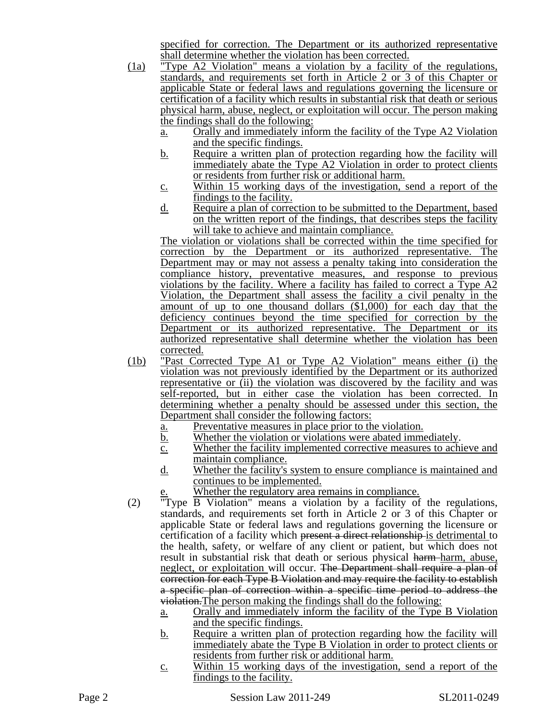specified for correction. The Department or its authorized representative shall determine whether the violation has been corrected.

- (1a) "Type A2 Violation" means a violation by a facility of the regulations, standards, and requirements set forth in Article 2 or 3 of this Chapter or applicable State or federal laws and regulations governing the licensure or certification of a facility which results in substantial risk that death or serious physical harm, abuse, neglect, or exploitation will occur. The person making the findings shall do the following:
	- a. Orally and immediately inform the facility of the Type A2 Violation and the specific findings.
	- b. Require a written plan of protection regarding how the facility will immediately abate the Type A2 Violation in order to protect clients or residents from further risk or additional harm.
	- c. Within 15 working days of the investigation, send a report of the findings to the facility.
	- d. Require a plan of correction to be submitted to the Department, based on the written report of the findings, that describes steps the facility will take to achieve and maintain compliance.

The violation or violations shall be corrected within the time specified for correction by the Department or its authorized representative. The Department may or may not assess a penalty taking into consideration the compliance history, preventative measures, and response to previous violations by the facility. Where a facility has failed to correct a Type  $A2$ Violation, the Department shall assess the facility a civil penalty in the amount of up to one thousand dollars (\$1,000) for each day that the deficiency continues beyond the time specified for correction by the Department or its authorized representative. The Department or its authorized representative shall determine whether the violation has been corrected.

- (1b) "Past Corrected Type A1 or Type A2 Violation" means either (i) the violation was not previously identified by the Department or its authorized representative or (ii) the violation was discovered by the facility and was self-reported, but in either case the violation has been corrected. In determining whether a penalty should be assessed under this section, the Department shall consider the following factors:
	- a. Preventative measures in place prior to the violation.
	- b. Whether the violation or violations were abated immediately.
	- c. Whether the facility implemented corrective measures to achieve and maintain compliance.
	- d. Whether the facility's system to ensure compliance is maintained and continues to be implemented.
		- Whether the regulatory area remains in compliance.
- (2) "Type B Violation" means a violation by a facility of the regulations, standards, and requirements set forth in Article 2 or 3 of this Chapter or applicable State or federal laws and regulations governing the licensure or certification of a facility which present a direct relationship is detrimental to the health, safety, or welfare of any client or patient, but which does not result in substantial risk that death or serious physical harm-harm, abuse, neglect, or exploitation will occur. The Department shall require a plan of correction for each Type B Violation and may require the facility to establish a specific plan of correction within a specific time period to address the violation.The person making the findings shall do the following:
	- a. Orally and immediately inform the facility of the Type B Violation and the specific findings.
	- b. Require a written plan of protection regarding how the facility will immediately abate the Type B Violation in order to protect clients or residents from further risk or additional harm.
	- c. Within 15 working days of the investigation, send a report of the findings to the facility.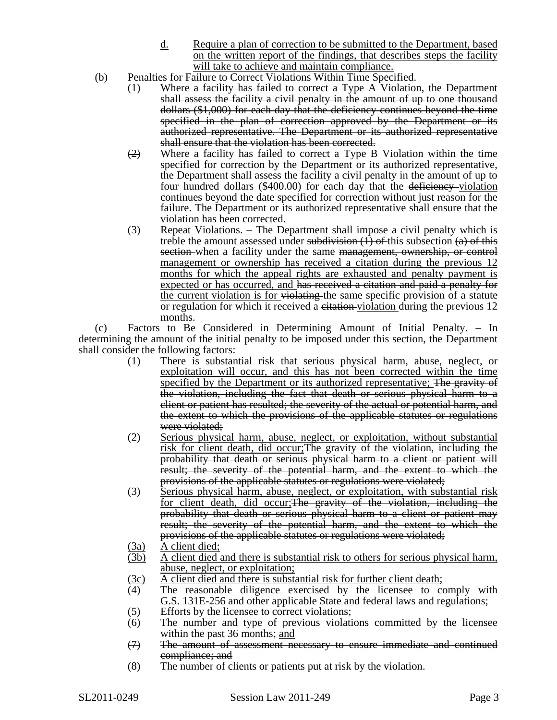- d. Require a plan of correction to be submitted to the Department, based on the written report of the findings, that describes steps the facility will take to achieve and maintain compliance.
- (b) Penalties for Failure to Correct Violations Within Time Specified.
	- (1) Where a facility has failed to correct a Type A Violation, the Department shall assess the facility a civil penalty in the amount of up to one thousand dollars (\$1,000) for each day that the deficiency continues beyond the time specified in the plan of correction approved by the Department or its authorized representative. The Department or its authorized representative shall ensure that the violation has been corrected.
	- $\left(2\right)$  Where a facility has failed to correct a Type B Violation within the time specified for correction by the Department or its authorized representative, the Department shall assess the facility a civil penalty in the amount of up to four hundred dollars  $(\$400.00)$  for each day that the deficiency-violation continues beyond the date specified for correction without just reason for the failure. The Department or its authorized representative shall ensure that the violation has been corrected.
	- (3) Repeat Violations. The Department shall impose a civil penalty which is treble the amount assessed under subdivision  $(1)$  of this subsection  $(a)$  of this section when a facility under the same management, ownership, or control management or ownership has received a citation during the previous 12 months for which the appeal rights are exhausted and penalty payment is expected or has occurred, and has received a citation and paid a penalty for the current violation is for violating the same specific provision of a statute or regulation for which it received a eitation-violation during the previous 12 months.

(c) Factors to Be Considered in Determining Amount of Initial Penalty. – In determining the amount of the initial penalty to be imposed under this section, the Department shall consider the following factors:

- (1) There is substantial risk that serious physical harm, abuse, neglect, or exploitation will occur, and this has not been corrected within the time specified by the Department or its authorized representative; The gravity of the violation, including the fact that death or serious physical harm to a client or patient has resulted; the severity of the actual or potential harm, and the extent to which the provisions of the applicable statutes or regulations were violated;
- (2) Serious physical harm, abuse, neglect, or exploitation, without substantial risk for client death, did occur; The gravity of the violation, including the probability that death or serious physical harm to a client or patient will result; the severity of the potential harm, and the extent to which the provisions of the applicable statutes or regulations were violated;
- (3) Serious physical harm, abuse, neglect, or exploitation, with substantial risk for client death, did occur; The gravity of the violation, including the probability that death or serious physical harm to a client or patient may result; the severity of the potential harm, and the extent to which the provisions of the applicable statutes or regulations were violated;
- (3a) A client died;
- (3b) A client died and there is substantial risk to others for serious physical harm, abuse, neglect, or exploitation;
- $\frac{3c}{4}$  A client died and there is substantial risk for further client death;<br>(4) The reasonable diligence exercised by the licensee to co
- The reasonable diligence exercised by the licensee to comply with G.S. 131E-256 and other applicable State and federal laws and regulations;
- (5) Efforts by the licensee to correct violations;
- (6) The number and type of previous violations committed by the licensee within the past 36 months; and
- (7) The amount of assessment necessary to ensure immediate and continued compliance; and
- (8) The number of clients or patients put at risk by the violation.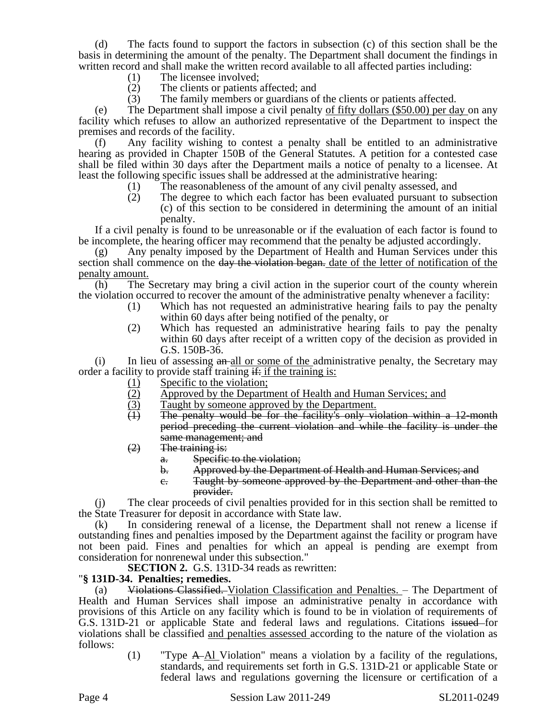(d) The facts found to support the factors in subsection (c) of this section shall be the basis in determining the amount of the penalty. The Department shall document the findings in written record and shall make the written record available to all affected parties including:

- (1) The licensee involved;
- (2) The clients or patients affected; and
- (3) The family members or guardians of the clients or patients affected.

(e) The Department shall impose a civil penalty of fifty dollars (\$50.00) per day on any facility which refuses to allow an authorized representative of the Department to inspect the premises and records of the facility.

(f) Any facility wishing to contest a penalty shall be entitled to an administrative hearing as provided in Chapter 150B of the General Statutes. A petition for a contested case shall be filed within 30 days after the Department mails a notice of penalty to a licensee. At least the following specific issues shall be addressed at the administrative hearing:

- (1) The reasonableness of the amount of any civil penalty assessed, and
- (2) The degree to which each factor has been evaluated pursuant to subsection (c) of this section to be considered in determining the amount of an initial penalty.

If a civil penalty is found to be unreasonable or if the evaluation of each factor is found to be incomplete, the hearing officer may recommend that the penalty be adjusted accordingly.

(g) Any penalty imposed by the Department of Health and Human Services under this section shall commence on the day the violation began. date of the letter of notification of the penalty amount.

(h) The Secretary may bring a civil action in the superior court of the county wherein the violation occurred to recover the amount of the administrative penalty whenever a facility:

- (1) Which has not requested an administrative hearing fails to pay the penalty within 60 days after being notified of the penalty, or
- (2) Which has requested an administrative hearing fails to pay the penalty within 60 days after receipt of a written copy of the decision as provided in G.S. 150B-36.

 $(i)$  In lieu of assessing  $an$ -all or some of the administrative penalty, the Secretary may order a facility to provide staff training  $\frac{d}{dx}$  if the training is:

- 
- (1) Specific to the violation;<br>(2) Approved by the Depart (2) Approved by the Department of Health and Human Services; and Taught by someone approved by the Department.
- $\frac{1}{(1)}$  Taught by someone approved by the Department.<br>
The penalty would be for the facility's only vi
- The penalty would be for the facility's only violation within a 12-month period preceding the current violation and while the facility is under the same management; and
- $(2)$  The training is:
	- a. Specific to the violation;
	- b. Approved by the Department of Health and Human Services; and
	- c. Taught by someone approved by the Department and other than the provider.

(j) The clear proceeds of civil penalties provided for in this section shall be remitted to the State Treasurer for deposit in accordance with State law.

(k) In considering renewal of a license, the Department shall not renew a license if outstanding fines and penalties imposed by the Department against the facility or program have not been paid. Fines and penalties for which an appeal is pending are exempt from consideration for nonrenewal under this subsection."

**SECTION 2.** G.S. 131D-34 reads as rewritten:

## "**§ 131D-34. Penalties; remedies.**

(a) Violations Classified. Violation Classification and Penalties. – The Department of Health and Human Services shall impose an administrative penalty in accordance with provisions of this Article on any facility which is found to be in violation of requirements of G.S. 131D-21 or applicable State and federal laws and regulations. Citations issued for violations shall be classified and penalties assessed according to the nature of the violation as follows:

> (1) "Type A Al Violation" means a violation by a facility of the regulations, standards, and requirements set forth in G.S. 131D-21 or applicable State or federal laws and regulations governing the licensure or certification of a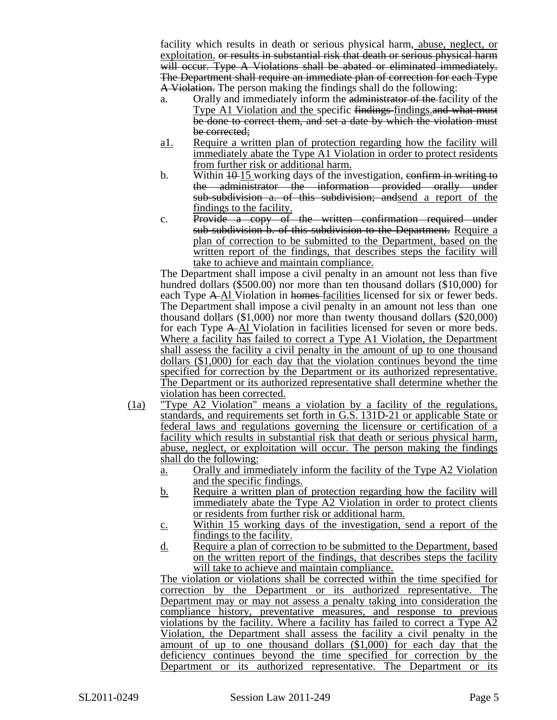facility which results in death or serious physical harm, abuse, neglect, or exploitation. or results in substantial risk that death or serious physical harm will occur. Type A Violations shall be abated or eliminated immediately. The Department shall require an immediate plan of correction for each Type A Violation. The person making the findings shall do the following:

- a. Orally and immediately inform the administrator of the facility of the Type A1 Violation and the specific findings findings and what must be done to correct them, and set a date by which the violation must be corrected;
- a1. Require a written plan of protection regarding how the facility will immediately abate the Type A1 Violation in order to protect residents from further risk or additional harm.
- b. Within  $10-15$  working days of the investigation, confirm in writing to the administrator the information provided orally under sub-subdivision a. of this subdivision; andsend a report of the findings to the facility.
- c. Provide a copy of the written confirmation required under sub-subdivision b. of this subdivision to the Department. Require a plan of correction to be submitted to the Department, based on the written report of the findings, that describes steps the facility will take to achieve and maintain compliance.

The Department shall impose a civil penalty in an amount not less than five hundred dollars (\$500.00) nor more than ten thousand dollars (\$10,000) for each Type A-Al Violation in homes-facilities licensed for six or fewer beds. The Department shall impose a civil penalty in an amount not less than one thousand dollars (\$1,000) nor more than twenty thousand dollars (\$20,000) for each Type A Al Violation in facilities licensed for seven or more beds. Where a facility has failed to correct a Type A1 Violation, the Department shall assess the facility a civil penalty in the amount of up to one thousand dollars (\$1,000) for each day that the violation continues beyond the time specified for correction by the Department or its authorized representative. The Department or its authorized representative shall determine whether the violation has been corrected.

- (1a) "Type A2 Violation" means a violation by a facility of the regulations, standards, and requirements set forth in G.S. 131D-21 or applicable State or federal laws and regulations governing the licensure or certification of a facility which results in substantial risk that death or serious physical harm, abuse, neglect, or exploitation will occur. The person making the findings shall do the following:
	- a. Orally and immediately inform the facility of the Type A2 Violation and the specific findings.
	- b. Require a written plan of protection regarding how the facility will immediately abate the Type A2 Violation in order to protect clients or residents from further risk or additional harm.
	- c. Within 15 working days of the investigation, send a report of the findings to the facility.
	- d. Require a plan of correction to be submitted to the Department, based on the written report of the findings, that describes steps the facility will take to achieve and maintain compliance.

The violation or violations shall be corrected within the time specified for correction by the Department or its authorized representative. The Department may or may not assess a penalty taking into consideration the compliance history, preventative measures, and response to previous violations by the facility. Where a facility has failed to correct a Type A2 Violation, the Department shall assess the facility a civil penalty in the amount of up to one thousand dollars (\$1,000) for each day that the deficiency continues beyond the time specified for correction by the Department or its authorized representative. The Department or its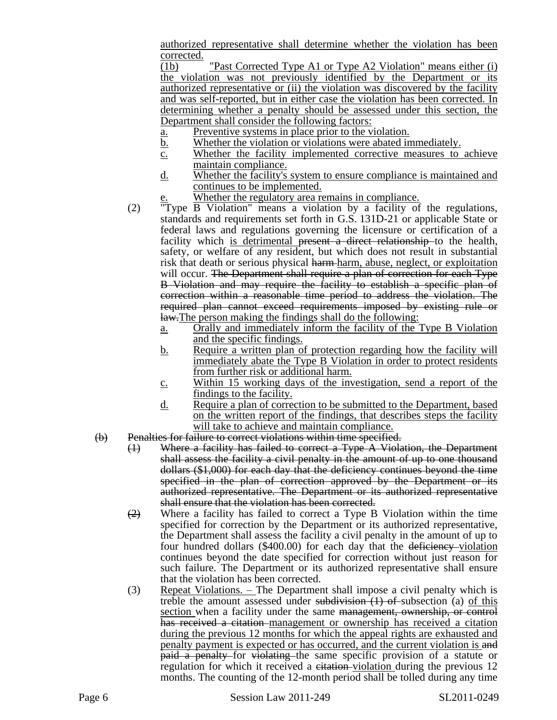authorized representative shall determine whether the violation has been corrected.

(1b) "Past Corrected Type A1 or Type A2 Violation" means either (i) the violation was not previously identified by the Department or its authorized representative or (ii) the violation was discovered by the facility and was self-reported, but in either case the violation has been corrected. In determining whether a penalty should be assessed under this section, the Department shall consider the following factors:

- a. Preventive systems in place prior to the violation.
- b. Whether the violation or violations were abated immediately.
- c. Whether the facility implemented corrective measures to achieve maintain compliance.
- d. Whether the facility's system to ensure compliance is maintained and continues to be implemented.
	- Whether the regulatory area remains in compliance.
- (2) "Type B Violation" means a violation by a facility of the regulations, standards and requirements set forth in G.S. 131D-21 or applicable State or federal laws and regulations governing the licensure or certification of a facility which is detrimental present a direct relationship to the health, safety, or welfare of any resident, but which does not result in substantial risk that death or serious physical harm-harm, abuse, neglect, or exploitation will occur. The Department shall require a plan of correction for each Type B Violation and may require the facility to establish a specific plan of correction within a reasonable time period to address the violation. The required plan cannot exceed requirements imposed by existing rule or law.The person making the findings shall do the following:
	- a. Orally and immediately inform the facility of the Type B Violation and the specific findings.
	- b. Require a written plan of protection regarding how the facility will immediately abate the Type B Violation in order to protect residents from further risk or additional harm.
	- c. Within 15 working days of the investigation, send a report of the findings to the facility.
	- d. Require a plan of correction to be submitted to the Department, based on the written report of the findings, that describes steps the facility will take to achieve and maintain compliance.
- (b) Penalties for failure to correct violations within time specified.
	- (1) Where a facility has failed to correct a Type A Violation, the Department shall assess the facility a civil penalty in the amount of up to one thousand dollars (\$1,000) for each day that the deficiency continues beyond the time specified in the plan of correction approved by the Department or its authorized representative. The Department or its authorized representative shall ensure that the violation has been corrected.
	- $\overline{(2)}$  Where a facility has failed to correct a Type B Violation within the time specified for correction by the Department or its authorized representative, the Department shall assess the facility a civil penalty in the amount of up to four hundred dollars (\$400.00) for each day that the deficiency violation continues beyond the date specified for correction without just reason for such failure. The Department or its authorized representative shall ensure that the violation has been corrected.
	- (3) Repeat Violations. The Department shall impose a civil penalty which is treble the amount assessed under subdivision  $(1)$  of subsection (a) of this section when a facility under the same management, ownership, or control has received a citation management or ownership has received a citation during the previous 12 months for which the appeal rights are exhausted and penalty payment is expected or has occurred, and the current violation is and paid a penalty for violating the same specific provision of a statute or regulation for which it received a citation-violation during the previous 12 months. The counting of the 12-month period shall be tolled during any time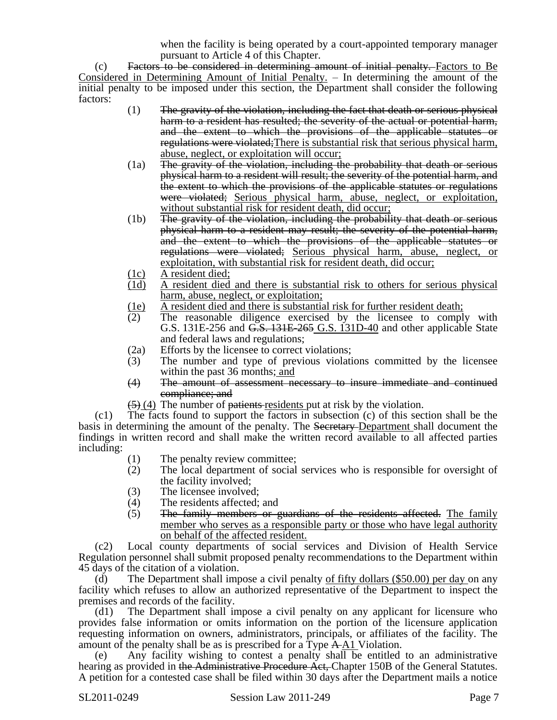when the facility is being operated by a court-appointed temporary manager pursuant to Article 4 of this Chapter.

(c) Factors to be considered in determining amount of initial penalty. Factors to Be Considered in Determining Amount of Initial Penalty. – In determining the amount of the initial penalty to be imposed under this section, the Department shall consider the following factors:

- (1) The gravity of the violation, including the fact that death or serious physical harm to a resident has resulted; the severity of the actual or potential harm, and the extent to which the provisions of the applicable statutes or regulations were violated;There is substantial risk that serious physical harm, abuse, neglect, or exploitation will occur;
- (1a) The gravity of the violation, including the probability that death or serious physical harm to a resident will result; the severity of the potential harm, and the extent to which the provisions of the applicable statutes or regulations were violated; Serious physical harm, abuse, neglect, or exploitation, without substantial risk for resident death, did occur;
- (1b) The gravity of the violation, including the probability that death or serious physical harm to a resident may result; the severity of the potential harm, and the extent to which the provisions of the applicable statutes or regulations were violated; Serious physical harm, abuse, neglect, or exploitation, with substantial risk for resident death, did occur;
- 
- $\frac{(1c)}{(1d)}$  A resident died; A resident died and there is substantial risk to others for serious physical harm, abuse, neglect, or exploitation;
- (1e) A resident died and there is substantial risk for further resident death;
- (2) The reasonable diligence exercised by the licensee to comply with G.S. 131E-256 and G.S. 131E-265 G.S. 131D-40 and other applicable State and federal laws and regulations;
- (2a) Efforts by the licensee to correct violations;
- (3) The number and type of previous violations committed by the licensee within the past 36 months; and
- (4) The amount of assessment necessary to insure immediate and continued compliance; and
- $(5)$  (4) The number of <del>patients</del> residents put at risk by the violation.

(c1) The facts found to support the factors in subsection (c) of this section shall be the basis in determining the amount of the penalty. The Secretary-Department shall document the findings in written record and shall make the written record available to all affected parties including:

- (1) The penalty review committee;
- (2) The local department of social services who is responsible for oversight of the facility involved;
- 
- (3) The licensee involved;<br>(4) The residents affected; The residents affected; and
- (5) The family members or guardians of the residents affected. The family member who serves as a responsible party or those who have legal authority on behalf of the affected resident.

(c2) Local county departments of social services and Division of Health Service Regulation personnel shall submit proposed penalty recommendations to the Department within 45 days of the citation of a violation.

(d) The Department shall impose a civil penalty of fifty dollars  $(\$50.00)$  per day on any facility which refuses to allow an authorized representative of the Department to inspect the premises and records of the facility.

(d1) The Department shall impose a civil penalty on any applicant for licensure who provides false information or omits information on the portion of the licensure application requesting information on owners, administrators, principals, or affiliates of the facility. The amount of the penalty shall be as is prescribed for a Type A A1 Violation.

(e) Any facility wishing to contest a penalty shall be entitled to an administrative hearing as provided in the Administrative Procedure Act, Chapter 150B of the General Statutes. A petition for a contested case shall be filed within 30 days after the Department mails a notice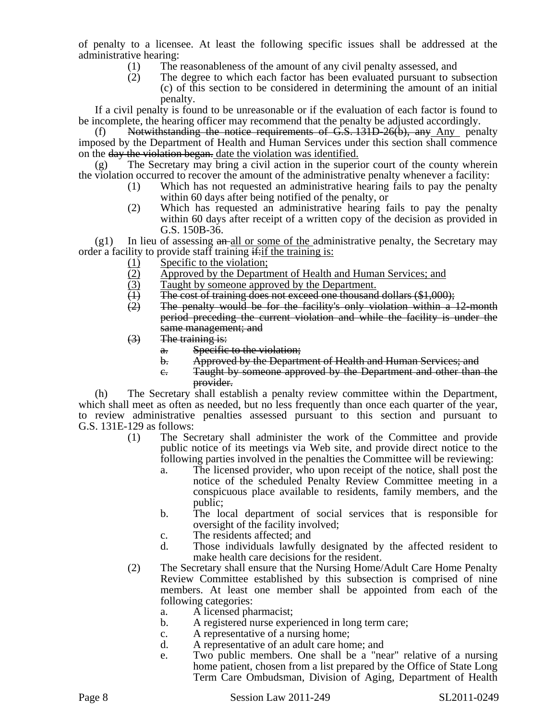of penalty to a licensee. At least the following specific issues shall be addressed at the administrative hearing:

- (1) The reasonableness of the amount of any civil penalty assessed, and
- (2) The degree to which each factor has been evaluated pursuant to subsection (c) of this section to be considered in determining the amount of an initial penalty.

If a civil penalty is found to be unreasonable or if the evaluation of each factor is found to be incomplete, the hearing officer may recommend that the penalty be adjusted accordingly.

(f) Notwithstanding the notice requirements of  $G.S. 131D-26(b)$ , any Any penalty imposed by the Department of Health and Human Services under this section shall commence on the day the violation began, date the violation was identified.

(g) The Secretary may bring a civil action in the superior court of the county wherein the violation occurred to recover the amount of the administrative penalty whenever a facility:

- (1) Which has not requested an administrative hearing fails to pay the penalty within 60 days after being notified of the penalty, or
- (2) Which has requested an administrative hearing fails to pay the penalty within 60 days after receipt of a written copy of the decision as provided in G.S. 150B-36.

 $(g1)$  In lieu of assessing  $a_n$ -all or some of the administrative penalty, the Secretary may order a facility to provide staff training  $\frac{d}{dx}$  if the training is:

- 
- (1) Specific to the violation;<br>(2) Approved by the Depart (2) Approved by the Department of Health and Human Services; and Taught by someone approved by the Department.
- $(3)$  Taught by someone approved by the Department.<br>  $(1)$  The cost of training does not exceed one thousand
- (1) The cost of training does not exceed one thousand dollars  $(\$1,000)$ ;<br>(2) The penalty would be for the facility's only violation within a
- The penalty would be for the facility's only violation within a 12-month period preceding the current violation and while the facility is under the same management; and
- (3) The training is:
	- a. Specific to the violation;
	- b. Approved by the Department of Health and Human Services; and
	- c. Taught by someone approved by the Department and other than the provider.

(h) The Secretary shall establish a penalty review committee within the Department, which shall meet as often as needed, but no less frequently than once each quarter of the year, to review administrative penalties assessed pursuant to this section and pursuant to G.S. 131E-129 as follows:

- (1) The Secretary shall administer the work of the Committee and provide public notice of its meetings via Web site, and provide direct notice to the following parties involved in the penalties the Committee will be reviewing:
	- a. The licensed provider, who upon receipt of the notice, shall post the notice of the scheduled Penalty Review Committee meeting in a conspicuous place available to residents, family members, and the public;
	- b. The local department of social services that is responsible for oversight of the facility involved;
	- c. The residents affected; and
	- d. Those individuals lawfully designated by the affected resident to make health care decisions for the resident.
- (2) The Secretary shall ensure that the Nursing Home/Adult Care Home Penalty Review Committee established by this subsection is comprised of nine members. At least one member shall be appointed from each of the following categories:
	- a. A licensed pharmacist;
	- b. A registered nurse experienced in long term care;
	- c. A representative of a nursing home;
	- d. A representative of an adult care home; and
	- e. Two public members. One shall be a "near" relative of a nursing home patient, chosen from a list prepared by the Office of State Long Term Care Ombudsman, Division of Aging, Department of Health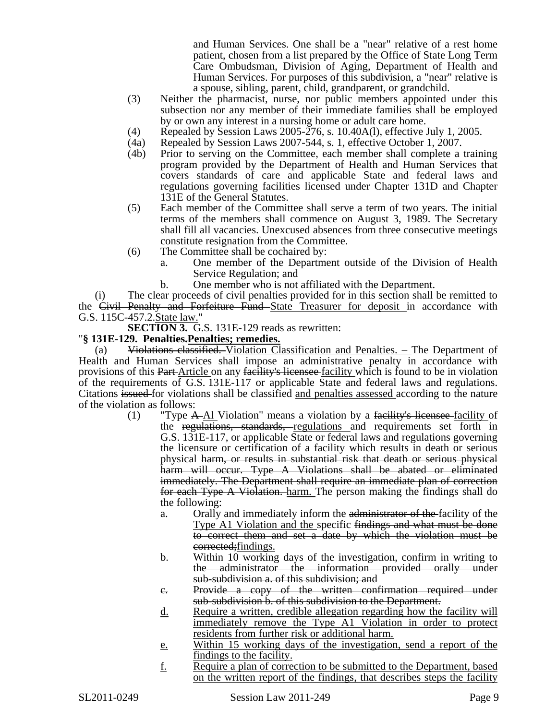and Human Services. One shall be a "near" relative of a rest home patient, chosen from a list prepared by the Office of State Long Term Care Ombudsman, Division of Aging, Department of Health and Human Services. For purposes of this subdivision, a "near" relative is a spouse, sibling, parent, child, grandparent, or grandchild.

- (3) Neither the pharmacist, nurse, nor public members appointed under this subsection nor any member of their immediate families shall be employed by or own any interest in a nursing home or adult care home.
- (4) Repealed by Session Laws 2005-276, s. 10.40A(l), effective July 1, 2005.
- (4a) Repealed by Session Laws 2007-544, s. 1, effective October 1, 2007.
- (4b) Prior to serving on the Committee, each member shall complete a training program provided by the Department of Health and Human Services that covers standards of care and applicable State and federal laws and regulations governing facilities licensed under Chapter 131D and Chapter 131E of the General Statutes.
- (5) Each member of the Committee shall serve a term of two years. The initial terms of the members shall commence on August 3, 1989. The Secretary shall fill all vacancies. Unexcused absences from three consecutive meetings constitute resignation from the Committee.
- (6) The Committee shall be cochaired by:
	- a. One member of the Department outside of the Division of Health Service Regulation; and
	- b. One member who is not affiliated with the Department.

(i) The clear proceeds of civil penalties provided for in this section shall be remitted to the Civil Penalty and Forfeiture Fund State Treasurer for deposit in accordance with G.S. 115C-457.2.State law."

**SECTION 3.** G.S. 131E-129 reads as rewritten:

## "**§ 131E-129. Penalties.Penalties; remedies.**

(a) Violations classified. Violation Classification and Penalties. - The Department of Health and Human Services shall impose an administrative penalty in accordance with provisions of this Part Article on any facility's licensee facility which is found to be in violation of the requirements of G.S. 131E-117 or applicable State and federal laws and regulations. Citations issued for violations shall be classified and penalties assessed according to the nature of the violation as follows:

- (1) "Type  $A$ -Al Violation" means a violation by a facility's licensee-facility of the regulations, standards, regulations and requirements set forth in G.S. 131E-117, or applicable State or federal laws and regulations governing the licensure or certification of a facility which results in death or serious physical harm, or results in substantial risk that death or serious physical harm will occur. Type A Violations shall be abated or eliminated immediately. The Department shall require an immediate plan of correction for each Type A Violation. harm. The person making the findings shall do the following:
	- a. Orally and immediately inform the administrator of the facility of the Type A1 Violation and the specific findings and what must be done to correct them and set a date by which the violation must be corrected; findings.
	- b. Within 10 working days of the investigation, confirm in writing to the administrator the information provided orally under sub-subdivision a. of this subdivision; and
	- c. Provide a copy of the written confirmation required under sub-subdivision b. of this subdivision to the Department.
	- d. Require a written, credible allegation regarding how the facility will immediately remove the Type A1 Violation in order to protect residents from further risk or additional harm.
	- e. Within 15 working days of the investigation, send a report of the findings to the facility.
	- f. Require a plan of correction to be submitted to the Department, based on the written report of the findings, that describes steps the facility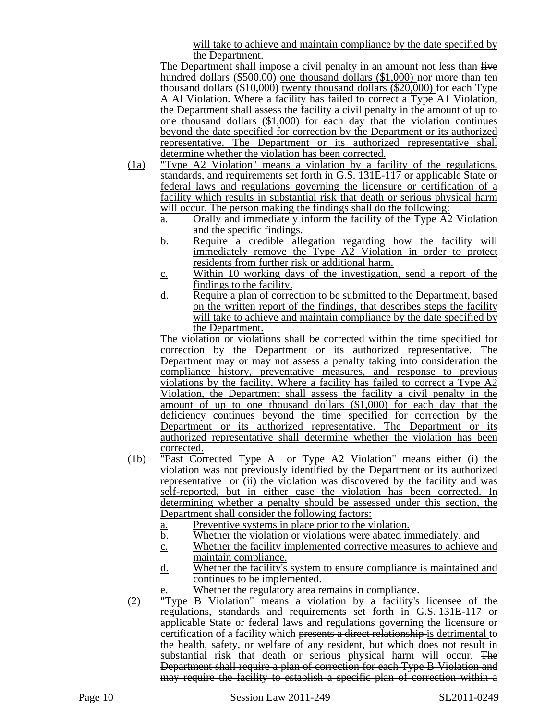will take to achieve and maintain compliance by the date specified by the Department.

The Department shall impose a civil penalty in an amount not less than five hundred dollars (\$500.00) one thousand dollars (\$1,000) nor more than ten thousand dollars (\$10,000) twenty thousand dollars (\$20,000) for each Type A Al Violation. Where a facility has failed to correct a Type A1 Violation, the Department shall assess the facility a civil penalty in the amount of up to one thousand dollars (\$1,000) for each day that the violation continues beyond the date specified for correction by the Department or its authorized representative. The Department or its authorized representative shall determine whether the violation has been corrected.

- (1a) "Type A2 Violation" means a violation by a facility of the regulations, standards, and requirements set forth in G.S. 131E-117 or applicable State or federal laws and regulations governing the licensure or certification of a facility which results in substantial risk that death or serious physical harm will occur. The person making the findings shall do the following:
	- a. Orally and immediately inform the facility of the Type A2 Violation and the specific findings.
	- b. Require a credible allegation regarding how the facility will immediately remove the Type A2 Violation in order to protect residents from further risk or additional harm.
	- c. Within 10 working days of the investigation, send a report of the findings to the facility.
	- d. Require a plan of correction to be submitted to the Department, based on the written report of the findings, that describes steps the facility will take to achieve and maintain compliance by the date specified by the Department.

The violation or violations shall be corrected within the time specified for correction by the Department or its authorized representative. The Department may or may not assess a penalty taking into consideration the compliance history, preventative measures, and response to previous violations by the facility. Where a facility has failed to correct a Type A2 Violation, the Department shall assess the facility a civil penalty in the amount of up to one thousand dollars (\$1,000) for each day that the deficiency continues beyond the time specified for correction by the Department or its authorized representative. The Department or its authorized representative shall determine whether the violation has been corrected.

- (1b) "Past Corrected Type A1 or Type A2 Violation" means either (i) the violation was not previously identified by the Department or its authorized representative or (ii) the violation was discovered by the facility and was self-reported, but in either case the violation has been corrected. In determining whether a penalty should be assessed under this section, the Department shall consider the following factors:
	- a. Preventive systems in place prior to the violation.
	- b. Whether the violation or violations were abated immediately. and
	- c. Whether the facility implemented corrective measures to achieve and maintain compliance.
	- d. Whether the facility's system to ensure compliance is maintained and continues to be implemented.
		- Whether the regulatory area remains in compliance.
- (2) "Type B Violation" means a violation by a facility's licensee of the regulations, standards and requirements set forth in G.S. 131E-117 or applicable State or federal laws and regulations governing the licensure or certification of a facility which presents a direct relationship is detrimental to the health, safety, or welfare of any resident, but which does not result in substantial risk that death or serious physical harm will occur. The Department shall require a plan of correction for each Type B Violation and may require the facility to establish a specific plan of correction within a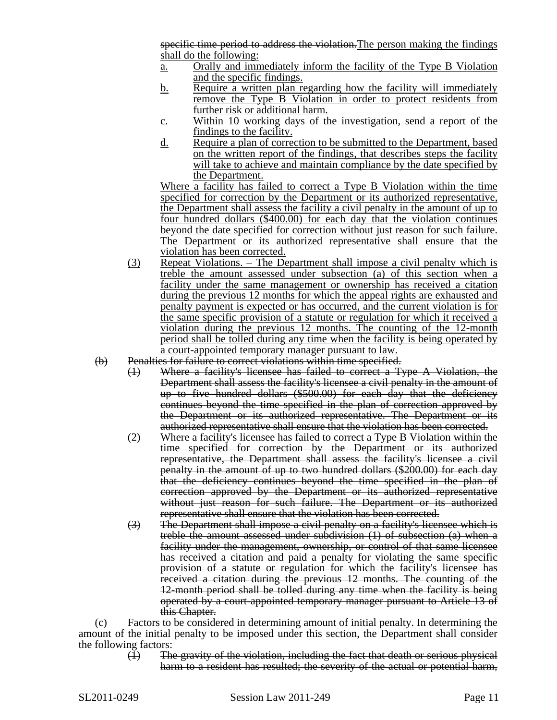specific time period to address the violation. The person making the findings shall do the following:

- a. Orally and immediately inform the facility of the Type B Violation and the specific findings.
- b. Require a written plan regarding how the facility will immediately remove the Type B Violation in order to protect residents from further risk or additional harm.
- c. Within 10 working days of the investigation, send a report of the findings to the facility.
- d. Require a plan of correction to be submitted to the Department, based on the written report of the findings, that describes steps the facility will take to achieve and maintain compliance by the date specified by the Department.

Where a facility has failed to correct a Type B Violation within the time specified for correction by the Department or its authorized representative, the Department shall assess the facility a civil penalty in the amount of up to four hundred dollars (\$400.00) for each day that the violation continues beyond the date specified for correction without just reason for such failure. The Department or its authorized representative shall ensure that the violation has been corrected.

- (3) Repeat Violations. The Department shall impose a civil penalty which is treble the amount assessed under subsection (a) of this section when a facility under the same management or ownership has received a citation during the previous 12 months for which the appeal rights are exhausted and penalty payment is expected or has occurred, and the current violation is for the same specific provision of a statute or regulation for which it received a violation during the previous 12 months. The counting of the 12-month period shall be tolled during any time when the facility is being operated by a court-appointed temporary manager pursuant to law.
- (b) Penalties for failure to correct violations within time specified.
	- (1) Where a facility's licensee has failed to correct a Type A Violation, the Department shall assess the facility's licensee a civil penalty in the amount of up to five hundred dollars (\$500.00) for each day that the deficiency continues beyond the time specified in the plan of correction approved by the Department or its authorized representative. The Department or its authorized representative shall ensure that the violation has been corrected.
	- (2) Where a facility's licensee has failed to correct a Type B Violation within the time specified for correction by the Department or its authorized representative, the Department shall assess the facility's licensee a civil penalty in the amount of up to two hundred dollars (\$200.00) for each day that the deficiency continues beyond the time specified in the plan of correction approved by the Department or its authorized representative without just reason for such failure. The Department or its authorized representative shall ensure that the violation has been corrected.
	- (3) The Department shall impose a civil penalty on a facility's licensee which is treble the amount assessed under subdivision (1) of subsection (a) when a facility under the management, ownership, or control of that same licensee has received a citation and paid a penalty for violating the same specific provision of a statute or regulation for which the facility's licensee has received a citation during the previous 12 months. The counting of the 12-month period shall be tolled during any time when the facility is being operated by a court-appointed temporary manager pursuant to Article 13 of this Chapter.

(c) Factors to be considered in determining amount of initial penalty. In determining the amount of the initial penalty to be imposed under this section, the Department shall consider the following factors:

(1) The gravity of the violation, including the fact that death or serious physical harm to a resident has resulted; the severity of the actual or potential harm,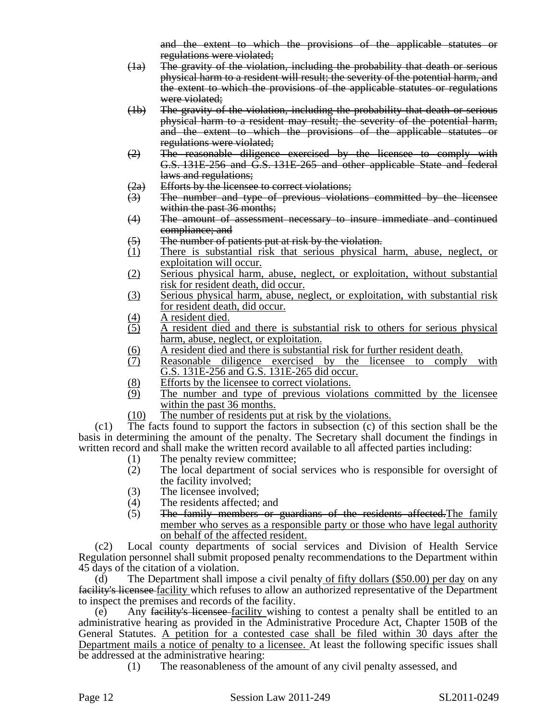and the extent to which the provisions of the applicable statutes or regulations were violated;

- (1a) The gravity of the violation, including the probability that death or serious physical harm to a resident will result; the severity of the potential harm, and the extent to which the provisions of the applicable statutes or regulations were violated;
- (1b) The gravity of the violation, including the probability that death or serious physical harm to a resident may result; the severity of the potential harm, and the extent to which the provisions of the applicable statutes or regulations were violated;
- (2) The reasonable diligence exercised by the licensee to comply with G.S. 131E-256 and G.S. 131E-265 and other applicable State and federal laws and regulations;
- (2a) Efforts by the licensee to correct violations;
- (3) The number and type of previous violations committed by the licensee within the past 36 months;
- (4) The amount of assessment necessary to insure immediate and continued compliance; and
- (5) The number of patients put at risk by the violation.
- (1) There is substantial risk that serious physical harm, abuse, neglect, or exploitation will occur.
- (2) Serious physical harm, abuse, neglect, or exploitation, without substantial risk for resident death, did occur.
- (3) Serious physical harm, abuse, neglect, or exploitation, with substantial risk for resident death, did occur.
- $\frac{(4)}{(5)}$  A resident died.
- (5) A resident died and there is substantial risk to others for serious physical harm, abuse, neglect, or exploitation.
- (6) A resident died and there is substantial risk for further resident death.<br>(7) Reasonable diligence exercised by the licensee to comply
- Reasonable diligence exercised by the licensee to comply with G.S. 131E-256 and G.S. 131E-265 did occur.
- (8) Efforts by the licensee to correct violations.
- (9) The number and type of previous violations committed by the licensee within the past 36 months.
- (10) The number of residents put at risk by the violations.

(c1) The facts found to support the factors in subsection (c) of this section shall be the basis in determining the amount of the penalty. The Secretary shall document the findings in written record and shall make the written record available to all affected parties including:

- (1) The penalty review committee;
- (2) The local department of social services who is responsible for oversight of the facility involved;
- 
- (3) The licensee involved;<br>(4) The residents affected; The residents affected; and
- (5) The family members or guardians of the residents affected.The family member who serves as a responsible party or those who have legal authority on behalf of the affected resident.

(c2) Local county departments of social services and Division of Health Service Regulation personnel shall submit proposed penalty recommendations to the Department within 45 days of the citation of a violation.

(d) The Department shall impose a civil penalty of fifty dollars (\$50.00) per day on any facility's licensee facility which refuses to allow an authorized representative of the Department to inspect the premises and records of the facility.

Any facility's licensee facility wishing to contest a penalty shall be entitled to an administrative hearing as provided in the Administrative Procedure Act, Chapter 150B of the General Statutes. A petition for a contested case shall be filed within 30 days after the Department mails a notice of penalty to a licensee. At least the following specific issues shall be addressed at the administrative hearing:

(1) The reasonableness of the amount of any civil penalty assessed, and